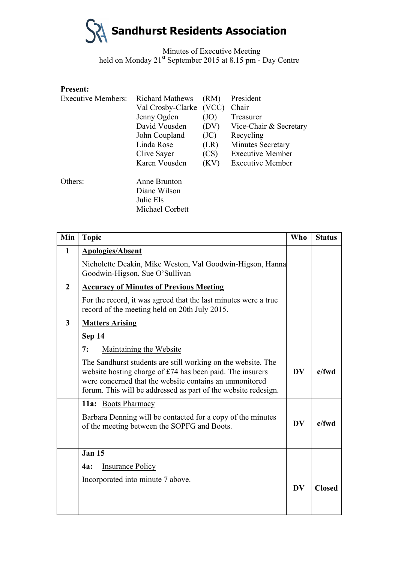

Minutes of Executive Meeting held on Monday 21<sup>st</sup> September 2015 at 8.15 pm - Day Centre

### **Present:**

| <b>Executive Members:</b> | <b>Richard Mathews</b><br>Val Crosby-Clarke                  | (RM)<br>(VCC) | President<br>Chair      |
|---------------------------|--------------------------------------------------------------|---------------|-------------------------|
|                           | Jenny Ogden                                                  | (JO)          | Treasurer               |
|                           | David Vousden                                                | (DV)          | Vice-Chair & Secretary  |
|                           | John Coupland                                                | (JC)          | Recycling               |
|                           | Linda Rose                                                   | (LR)          | Minutes Secretary       |
|                           | Clive Sayer                                                  | (CS)          | <b>Executive Member</b> |
|                           | Karen Vousden                                                | (KV)          | <b>Executive Member</b> |
| Others:                   | Anne Brunton<br>Diane Wilson<br>Julie Els<br>Michael Corbett |               |                         |

| Min            | <b>Topic</b>                                                                                                                                                                                                                                           | <b>Who</b> | <b>Status</b> |
|----------------|--------------------------------------------------------------------------------------------------------------------------------------------------------------------------------------------------------------------------------------------------------|------------|---------------|
| $\mathbf{1}$   | <b>Apologies/Absent</b>                                                                                                                                                                                                                                |            |               |
|                | Nicholette Deakin, Mike Weston, Val Goodwin-Higson, Hanna<br>Goodwin-Higson, Sue O'Sullivan                                                                                                                                                            |            |               |
| $\overline{2}$ | <b>Accuracy of Minutes of Previous Meeting</b>                                                                                                                                                                                                         |            |               |
|                | For the record, it was agreed that the last minutes were a true<br>record of the meeting held on 20th July 2015.                                                                                                                                       |            |               |
| $\overline{3}$ | <b>Matters Arising</b>                                                                                                                                                                                                                                 |            |               |
|                | Sep 14                                                                                                                                                                                                                                                 |            |               |
|                | Maintaining the Website<br>7:                                                                                                                                                                                                                          |            |               |
|                | The Sandhurst students are still working on the website. The<br>website hosting charge of £74 has been paid. The insurers<br>were concerned that the website contains an unmonitored<br>forum. This will be addressed as part of the website redesign. | <b>DV</b>  | $c$ /fwd      |
|                | 11a: Boots Pharmacy                                                                                                                                                                                                                                    |            |               |
|                | Barbara Denning will be contacted for a copy of the minutes<br>of the meeting between the SOPFG and Boots.                                                                                                                                             | <b>DV</b>  | $c$ /fwd      |
|                | <b>Jan 15</b>                                                                                                                                                                                                                                          |            |               |
|                | <b>Insurance Policy</b><br><b>4a:</b>                                                                                                                                                                                                                  |            |               |
|                | Incorporated into minute 7 above.                                                                                                                                                                                                                      | <b>DV</b>  | <b>Closed</b> |
|                |                                                                                                                                                                                                                                                        |            |               |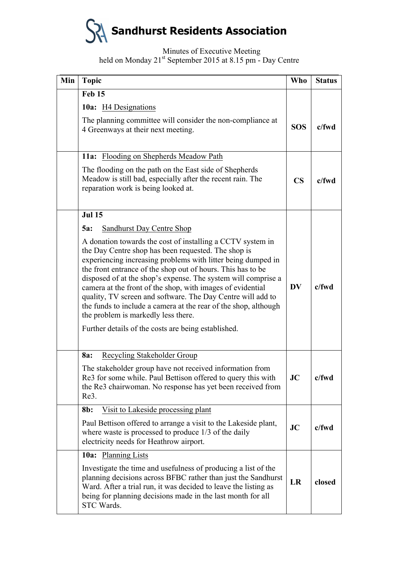## **Sandhurst Residents Association**

Minutes of Executive Meeting

held on Monday 21<sup>st</sup> September 2015 at 8.15 pm - Day Centre

| Min | <b>Topic</b>                                                                                                                                                                                                                                                                                                                                                                                                                                                                                                                                                                                                    | <b>Who</b>             | <b>Status</b> |
|-----|-----------------------------------------------------------------------------------------------------------------------------------------------------------------------------------------------------------------------------------------------------------------------------------------------------------------------------------------------------------------------------------------------------------------------------------------------------------------------------------------------------------------------------------------------------------------------------------------------------------------|------------------------|---------------|
|     | <b>Feb 15</b><br>10a: H4 Designations                                                                                                                                                                                                                                                                                                                                                                                                                                                                                                                                                                           |                        |               |
|     |                                                                                                                                                                                                                                                                                                                                                                                                                                                                                                                                                                                                                 |                        |               |
|     | The planning committee will consider the non-compliance at<br>4 Greenways at their next meeting.                                                                                                                                                                                                                                                                                                                                                                                                                                                                                                                | <b>SOS</b>             | $c$ /fwd      |
|     | 11a: Flooding on Shepherds Meadow Path                                                                                                                                                                                                                                                                                                                                                                                                                                                                                                                                                                          |                        |               |
|     | The flooding on the path on the East side of Shepherds<br>Meadow is still bad, especially after the recent rain. The<br>reparation work is being looked at.                                                                                                                                                                                                                                                                                                                                                                                                                                                     | $\overline{\text{CS}}$ | c/fwd         |
|     | <b>Jul 15</b>                                                                                                                                                                                                                                                                                                                                                                                                                                                                                                                                                                                                   |                        |               |
|     | <b>Sandhurst Day Centre Shop</b><br>$5a$ :                                                                                                                                                                                                                                                                                                                                                                                                                                                                                                                                                                      |                        |               |
|     | A donation towards the cost of installing a CCTV system in<br>the Day Centre shop has been requested. The shop is<br>experiencing increasing problems with litter being dumped in<br>the front entrance of the shop out of hours. This has to be<br>disposed of at the shop's expense. The system will comprise a<br>camera at the front of the shop, with images of evidential<br>quality, TV screen and software. The Day Centre will add to<br>the funds to include a camera at the rear of the shop, although<br>the problem is markedly less there.<br>Further details of the costs are being established. | <b>DV</b>              | $c$ /fwd      |
|     | Recycling Stakeholder Group<br>8a:                                                                                                                                                                                                                                                                                                                                                                                                                                                                                                                                                                              |                        |               |
|     | The stakeholder group have not received information from<br>Re3 for some while. Paul Bettison offered to query this with<br>the Re3 chairwoman. No response has yet been received from<br>Re3.                                                                                                                                                                                                                                                                                                                                                                                                                  | JC                     | c/fwd         |
|     | Visit to Lakeside processing plant<br>8b:                                                                                                                                                                                                                                                                                                                                                                                                                                                                                                                                                                       |                        |               |
|     | Paul Bettison offered to arrange a visit to the Lakeside plant,<br>where waste is processed to produce $1/3$ of the daily<br>electricity needs for Heathrow airport.                                                                                                                                                                                                                                                                                                                                                                                                                                            | JC                     | $c$ /fwd      |
|     | 10a: Planning Lists                                                                                                                                                                                                                                                                                                                                                                                                                                                                                                                                                                                             |                        |               |
|     | Investigate the time and usefulness of producing a list of the<br>planning decisions across BFBC rather than just the Sandhurst<br>Ward. After a trial run, it was decided to leave the listing as<br>being for planning decisions made in the last month for all<br>STC Wards.                                                                                                                                                                                                                                                                                                                                 | LR                     | closed        |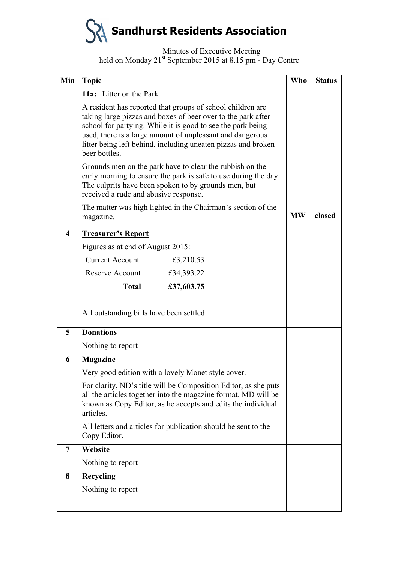

#### Minutes of Executive Meeting held on Monday 21<sup>st</sup> September 2015 at 8.15 pm - Day Centre

| Min                     | <b>Topic</b>                                                                                                                                                                                                                                                                                                                             | <b>Who</b> | <b>Status</b> |
|-------------------------|------------------------------------------------------------------------------------------------------------------------------------------------------------------------------------------------------------------------------------------------------------------------------------------------------------------------------------------|------------|---------------|
|                         | 11a: Litter on the Park                                                                                                                                                                                                                                                                                                                  |            |               |
|                         | A resident has reported that groups of school children are<br>taking large pizzas and boxes of beer over to the park after<br>school for partying. While it is good to see the park being<br>used, there is a large amount of unpleasant and dangerous<br>litter being left behind, including uneaten pizzas and broken<br>beer bottles. |            |               |
|                         | Grounds men on the park have to clear the rubbish on the<br>early morning to ensure the park is safe to use during the day.<br>The culprits have been spoken to by grounds men, but<br>received a rude and abusive response.                                                                                                             |            |               |
|                         | The matter was high lighted in the Chairman's section of the<br>magazine.                                                                                                                                                                                                                                                                | <b>MW</b>  | closed        |
| $\overline{\mathbf{4}}$ | <b>Treasurer's Report</b>                                                                                                                                                                                                                                                                                                                |            |               |
|                         | Figures as at end of August 2015:                                                                                                                                                                                                                                                                                                        |            |               |
|                         | <b>Current Account</b><br>£3,210.53                                                                                                                                                                                                                                                                                                      |            |               |
|                         | Reserve Account<br>£34,393.22                                                                                                                                                                                                                                                                                                            |            |               |
|                         | <b>Total</b><br>£37,603.75                                                                                                                                                                                                                                                                                                               |            |               |
|                         | All outstanding bills have been settled                                                                                                                                                                                                                                                                                                  |            |               |
| 5                       | <b>Donations</b>                                                                                                                                                                                                                                                                                                                         |            |               |
|                         | Nothing to report                                                                                                                                                                                                                                                                                                                        |            |               |
| 6                       | <b>Magazine</b>                                                                                                                                                                                                                                                                                                                          |            |               |
|                         | Very good edition with a lovely Monet style cover.                                                                                                                                                                                                                                                                                       |            |               |
|                         | For clarity, ND's title will be Composition Editor, as she puts<br>all the articles together into the magazine format. MD will be<br>known as Copy Editor, as he accepts and edits the individual<br>articles.                                                                                                                           |            |               |
|                         | All letters and articles for publication should be sent to the<br>Copy Editor.                                                                                                                                                                                                                                                           |            |               |
| 7                       | Website                                                                                                                                                                                                                                                                                                                                  |            |               |
|                         | Nothing to report                                                                                                                                                                                                                                                                                                                        |            |               |
| 8                       | Recycling                                                                                                                                                                                                                                                                                                                                |            |               |
|                         | Nothing to report                                                                                                                                                                                                                                                                                                                        |            |               |
|                         |                                                                                                                                                                                                                                                                                                                                          |            |               |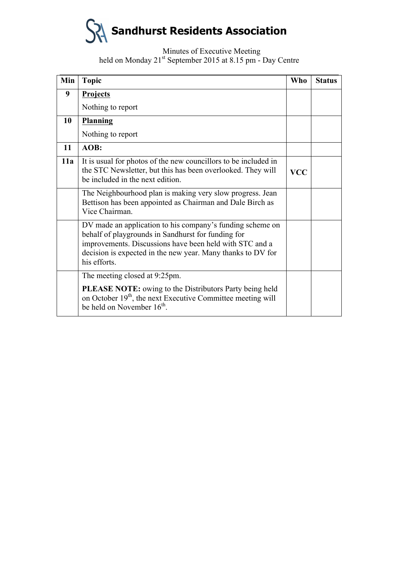# **Sandhurst Residents Association**

Minutes of Executive Meeting held on Monday 21<sup>st</sup> September 2015 at 8.15 pm - Day Centre

| Min | <b>Topic</b>                                                                                                                                                                                                                                              | Who        | <b>Status</b> |
|-----|-----------------------------------------------------------------------------------------------------------------------------------------------------------------------------------------------------------------------------------------------------------|------------|---------------|
| 9   | <b>Projects</b>                                                                                                                                                                                                                                           |            |               |
|     | Nothing to report                                                                                                                                                                                                                                         |            |               |
| 10  | Planning                                                                                                                                                                                                                                                  |            |               |
|     | Nothing to report                                                                                                                                                                                                                                         |            |               |
| 11  | AOB:                                                                                                                                                                                                                                                      |            |               |
| 11a | It is usual for photos of the new councillors to be included in<br>the STC Newsletter, but this has been overlooked. They will<br>be included in the next edition.                                                                                        | <b>VCC</b> |               |
|     | The Neighbourhood plan is making very slow progress. Jean<br>Bettison has been appointed as Chairman and Dale Birch as<br>Vice Chairman.                                                                                                                  |            |               |
|     | DV made an application to his company's funding scheme on<br>behalf of playgrounds in Sandhurst for funding for<br>improvements. Discussions have been held with STC and a<br>decision is expected in the new year. Many thanks to DV for<br>his efforts. |            |               |
|     | The meeting closed at 9:25pm.                                                                                                                                                                                                                             |            |               |
|     | <b>PLEASE NOTE:</b> owing to the Distributors Party being held<br>on October 19 <sup>th</sup> , the next Executive Committee meeting will<br>be held on November 16 <sup>th</sup> .                                                                       |            |               |